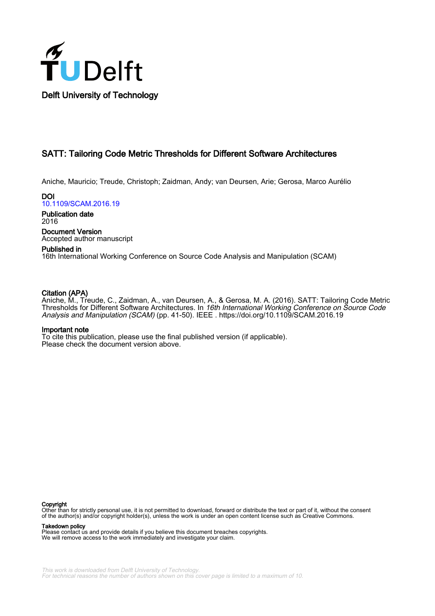

## SATT: Tailoring Code Metric Thresholds for Different Software Architectures

Aniche, Mauricio; Treude, Christoph; Zaidman, Andy; van Deursen, Arie; Gerosa, Marco Aurélio

DOI [10.1109/SCAM.2016.19](https://doi.org/10.1109/SCAM.2016.19)

Publication date 2016

Document Version Accepted author manuscript

#### Published in

16th International Working Conference on Source Code Analysis and Manipulation (SCAM)

### Citation (APA)

Aniche, M., Treude, C., Zaidman, A., van Deursen, A., & Gerosa, M. A. (2016). SATT: Tailoring Code Metric Thresholds for Different Software Architectures. In 16th International Working Conference on Source Code Analysis and Manipulation (SCAM) (pp. 41-50). IEEE . <https://doi.org/10.1109/SCAM.2016.19>

#### Important note

To cite this publication, please use the final published version (if applicable). Please check the document version above.

#### Copyright

Other than for strictly personal use, it is not permitted to download, forward or distribute the text or part of it, without the consent of the author(s) and/or copyright holder(s), unless the work is under an open content license such as Creative Commons.

Takedown policy

Please contact us and provide details if you believe this document breaches copyrights. We will remove access to the work immediately and investigate your claim.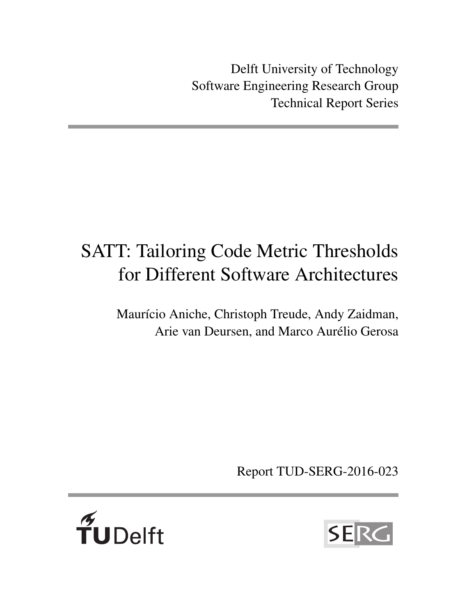Delft University of Technology Software Engineering Research Group Technical Report Series

# SATT: Tailoring Code Metric Thresholds for Different Software Architectures

Maurício Aniche, Christoph Treude, Andy Zaidman, Arie van Deursen, and Marco Aurélio Gerosa

Report TUD-SERG-2016-023



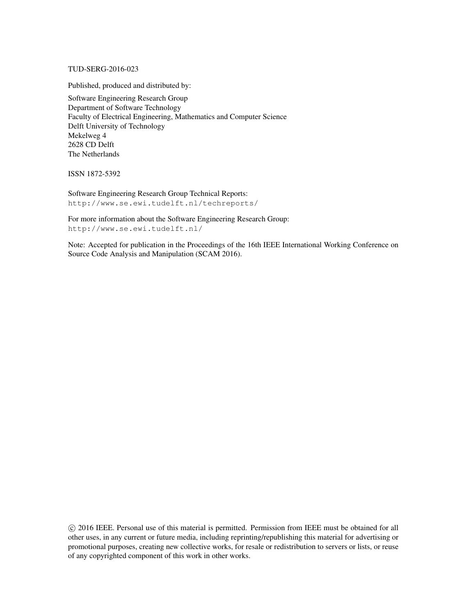#### TUD-SERG-2016-023

Published, produced and distributed by:

Software Engineering Research Group Department of Software Technology Faculty of Electrical Engineering, Mathematics and Computer Science Delft University of Technology Mekelweg 4 2628 CD Delft The Netherlands

ISSN 1872-5392

Software Engineering Research Group Technical Reports: http://www.se.ewi.tudelft.nl/techreports/

For more information about the Software Engineering Research Group: http://www.se.ewi.tudelft.nl/

Note: Accepted for publication in the Proceedings of the 16th IEEE International Working Conference on Source Code Analysis and Manipulation (SCAM 2016).

 c 2016 IEEE. Personal use of this material is permitted. Permission from IEEE must be obtained for all other uses, in any current or future media, including reprinting/republishing this material for advertising or promotional purposes, creating new collective works, for resale or redistribution to servers or lists, or reuse of any copyrighted component of this work in other works.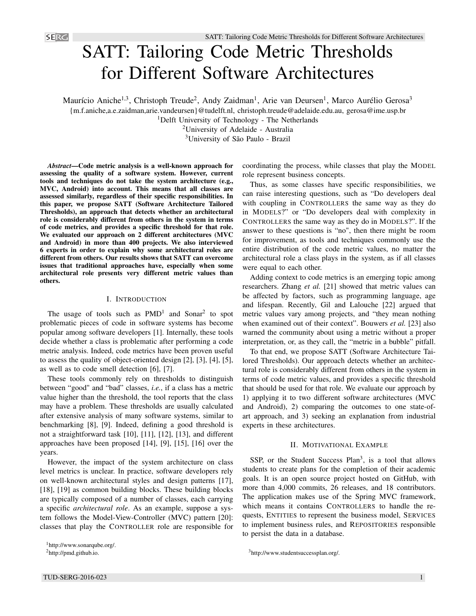## SATT: Tailoring Code Metric Thresholds for Different Software Architectures

Maurício Aniche<sup>1,3</sup>, Christoph Treude<sup>2</sup>, Andy Zaidman<sup>1</sup>, Arie van Deursen<sup>1</sup>, Marco Aurélio Gerosa<sup>3</sup>

{m.f.aniche,a.e.zaidman,arie.vandeursen}@tudelft.nl, christoph.treude@adelaide.edu.au, gerosa@ime.usp.br

<sup>1</sup>Delft University of Technology - The Netherlands

<sup>2</sup>University of Adelaide - Australia

<sup>3</sup>University of São Paulo - Brazil

*Abstract*—Code metric analysis is a well-known approach for assessing the quality of a software system. However, current tools and techniques do not take the system architecture (e.g., MVC, Android) into account. This means that all classes are assessed similarly, regardless of their specific responsibilities. In this paper, we propose SATT (Software Architecture Tailored Thresholds), an approach that detects whether an architectural role is considerably different from others in the system in terms of code metrics, and provides a specific threshold for that role. We evaluated our approach on 2 different architectures (MVC and Android) in more than 400 projects. We also interviewed 6 experts in order to explain why some architectural roles are different from others. Our results shows that SATT can overcome issues that traditional approaches have, especially when some architectural role presents very different metric values than others. SERGE SERGE STATE TRANSFERS ON THE TRANSFERS OF NET TRANSFERS ON EXAMPLE SAME CONSULTER CONSULTER CONSULTER CONSULTER CONSULTER CONSULTER CONSULTER CONSULTER CONSULTER CONSULTER CONSULTER CONSULTER (SERVER) (In the space

#### I. INTRODUCTION

The usage of tools such as  $PMD<sup>1</sup>$  and Sonar<sup>2</sup> to spot problematic pieces of code in software systems has become popular among software developers [1]. Internally, these tools decide whether a class is problematic after performing a code metric analysis. Indeed, code metrics have been proven useful to assess the quality of object-oriented design [2], [3], [4], [5], as well as to code smell detection [6], [7].

These tools commonly rely on thresholds to distinguish between "good" and "bad" classes, *i.e.*, if a class has a metric value higher than the threshold, the tool reports that the class may have a problem. These thresholds are usually calculated after extensive analysis of many software systems, similar to benchmarking [8], [9]. Indeed, defining a good threshold is not a straightforward task [10], [11], [12], [13], and different approaches have been proposed [14], [9], [15], [16] over the years.

However, the impact of the system architecture on class level metrics is unclear. In practice, software developers rely on well-known architectural styles and design patterns [17], [18], [19] as common building blocks. These building blocks are typically composed of a number of classes, each carrying a specific *architectural role*. As an example, suppose a system follows the Model-View-Controller (MVC) pattern [20]: classes that play the CONTROLLER role are responsible for coordinating the process, while classes that play the MODEL role represent business concepts.

Thus, as some classes have specific responsibilities, we can raise interesting questions, such as "Do developers deal with coupling in CONTROLLERS the same way as they do in MODELS?" or "Do developers deal with complexity in CONTROLLERS the same way as they do in MODELS?". If the answer to these questions is "no", then there might be room for improvement, as tools and techniques commonly use the entire distribution of the code metric values, no matter the architectural role a class plays in the system, as if all classes were equal to each other.

Adding context to code metrics is an emerging topic among researchers. Zhang *et al.* [21] showed that metric values can be affected by factors, such as programming language, age and lifespan. Recently, Gil and Lalouche [22] argued that metric values vary among projects, and "they mean nothing when examined out of their context". Bouwers *et al.* [23] also warned the community about using a metric without a proper interpretation, or, as they call, the "metric in a bubble" pitfall.

To that end, we propose SATT (Software Architecture Tailored Thresholds). Our approach detects whether an architectural role is considerably different from others in the system in terms of code metric values, and provides a specific threshold that should be used for that role. We evaluate our approach by 1) applying it to two different software architectures (MVC and Android), 2) comparing the outcomes to one state-ofart approach, and 3) seeking an explanation from industrial experts in these architectures.

#### II. MOTIVATIONAL EXAMPLE

SSP, or the Student Success Plan<sup>3</sup>, is a tool that allows students to create plans for the completion of their academic goals. It is an open source project hosted on GitHub, with more than 4,000 commits, 26 releases, and 18 contributors. The application makes use of the Spring MVC framework, which means it contains CONTROLLERS to handle the requests, ENTITIES to represent the business model, SERVICES to implement business rules, and REPOSITORIES responsible to persist the data in a database.

<sup>1</sup>http://www.sonarqube.org/.

<sup>2</sup>http://pmd.github.io.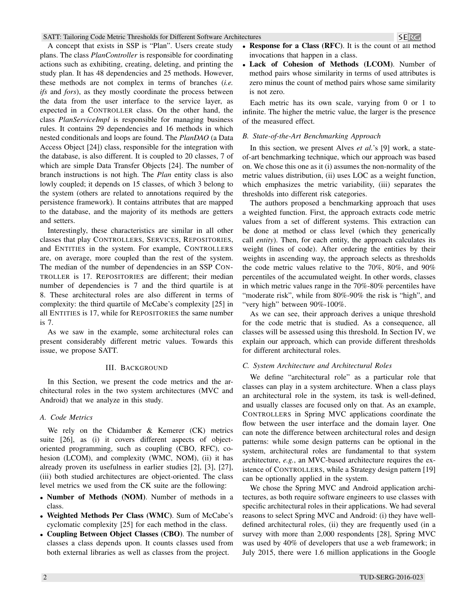#### SATT: Tailoring Code Metric Thresholds for Different Software Architectures

A concept that exists in SSP is "Plan". Users create study plans. The class *PlanController* is responsible for coordinating actions such as exhibiting, creating, deleting, and printing the study plan. It has 48 dependencies and 25 methods. However, these methods are not complex in terms of branches (*i.e. ifs* and *fors*), as they mostly coordinate the process between the data from the user interface to the service layer, as expected in a CONTROLLER class. On the other hand, the class *PlanServiceImpl* is responsible for managing business rules. It contains 29 dependencies and 16 methods in which nested conditionals and loops are found. The *PlanDAO* (a Data Access Object [24]) class, responsible for the integration with the database, is also different. It is coupled to 20 classes, 7 of which are simple Data Transfer Objects [24]. The number of branch instructions is not high. The *Plan* entity class is also lowly coupled; it depends on 15 classes, of which 3 belong to

the system (others are related to annotations required by the persistence framework). It contains attributes that are mapped to the database, and the majority of its methods are getters and setters.

Interestingly, these characteristics are similar in all other classes that play CONTROLLERS, SERVICES, REPOSITORIES, and ENTITIES in the system. For example, CONTROLLERS are, on average, more coupled than the rest of the system. The median of the number of dependencies in an SSP CON-TROLLER is 17. REPOSITORIES are different; their median number of dependencies is 7 and the third quartile is at 8. These architectural roles are also different in terms of complexity: the third quartile of McCabe's complexity [25] in all ENTITIES is 17, while for REPOSITORIES the same number is 7.

As we saw in the example, some architectural roles can present considerably different metric values. Towards this issue, we propose SATT.

#### III. BACKGROUND

In this Section, we present the code metrics and the architectural roles in the two system architectures (MVC and Android) that we analyze in this study.

#### *A. Code Metrics*

We rely on the Chidamber & Kemerer (CK) metrics suite [26], as (i) it covers different aspects of objectoriented programming, such as coupling (CBO, RFC), cohesion (LCOM), and complexity (WMC, NOM), (ii) it has already proven its usefulness in earlier studies [2], [3], [27], (iii) both studied architectures are object-oriented. The class level metrics we used from the CK suite are the following:

- Number of Methods (NOM). Number of methods in a class.
- Weighted Methods Per Class (WMC). Sum of McCabe's cyclomatic complexity [25] for each method in the class.
- Coupling Between Object Classes (CBO). The number of classes a class depends upon. It counts classes used from both external libraries as well as classes from the project.
- Response for a Class (RFC). It is the count of all method invocations that happen in a class.
- Lack of Cohesion of Methods (LCOM). Number of method pairs whose similarity in terms of used attributes is zero minus the count of method pairs whose same similarity is not zero.

Each metric has its own scale, varying from 0 or 1 to infinite. The higher the metric value, the larger is the presence of the measured effect.

#### *B. State-of-the-Art Benchmarking Approach*

In this section, we present Alves *et al.*'s [9] work, a stateof-art benchmarking technique, which our approach was based on. We chose this one as it (i) assumes the non-normality of the metric values distribution, (ii) uses LOC as a weight function, which emphasizes the metric variability, (iii) separates the thresholds into different risk categories.

The authors proposed a benchmarking approach that uses a weighted function. First, the approach extracts code metric values from a set of different systems. This extraction can be done at method or class level (which they generically call *entity*). Then, for each entity, the approach calculates its weight (lines of code). After ordering the entities by their weights in ascending way, the approach selects as thresholds the code metric values relative to the 70%, 80%, and 90% percentiles of the accumulated weight. In other words, classes in which metric values range in the 70%-80% percentiles have "moderate risk", while from 80%-90% the risk is "high", and "very high" between 90%-100%.

As we can see, their approach derives a unique threshold for the code metric that is studied. As a consequence, all classes will be assessed using this threshold. In Section IV, we explain our approach, which can provide different thresholds for different architectural roles.

#### *C. System Architecture and Architectural Roles*

We define "architectural role" as a particular role that classes can play in a system architecture. When a class plays an architectural role in the system, its task is well-defined, and usually classes are focused only on that. As an example, CONTROLLERS in Spring MVC applications coordinate the flow between the user interface and the domain layer. One can note the difference between architectural roles and design patterns: while some design patterns can be optional in the system, architectural roles are fundamental to that system architecture, *e.g.*, an MVC-based architecture requires the existence of CONTROLLERS, while a Strategy design pattern [19] can be optionally applied in the system.

We chose the Spring MVC and Android application architectures, as both require software engineers to use classes with specific architectural roles in their applications. We had several reasons to select Spring MVC and Android: (i) they have welldefined architectural roles, (ii) they are frequently used (in a survey with more than 2,000 respondents [28], Spring MVC was used by 40% of developers that use a web framework; in July 2015, there were 1.6 million applications in the Google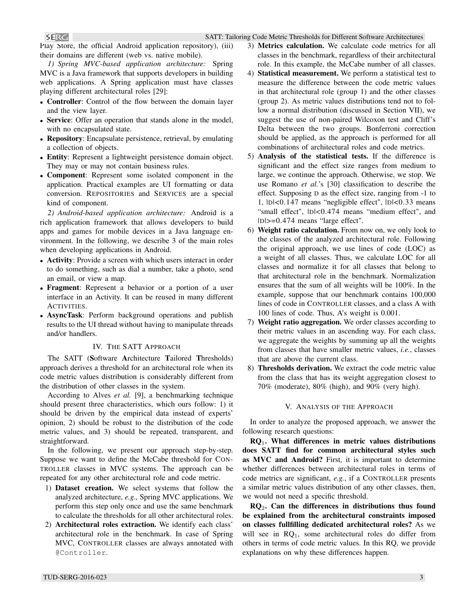Play Store, the official Android application repository), (iii) their domains are different (web vs. native mobile).

*1) Spring MVC-based application architecture:* Spring MVC is a Java framework that supports developers in building web applications. A Spring application must have classes playing different architectural roles [29]:

- Controller: Control of the flow between the domain layer and the view layer.
- Service: Offer an operation that stands alone in the model, with no encapsulated state.
- Repository: Encapsulate persistence, retrieval, by emulating a collection of objects.
- Entity: Represent a lightweight persistence domain object. They may or may not contain business rules.
- Component: Represent some isolated component in the application. Practical examples are UI formatting or data conversion. REPOSITORIES and SERVICES are a special kind of component.

*2) Android-based application architecture:* Android is a rich application framework that allows developers to build apps and games for mobile devices in a Java language environment. In the following, we describe 3 of the main roles when developing applications in Android.

- Activity: Provide a screen with which users interact in order to do something, such as dial a number, take a photo, send an email, or view a map.
- Fragment: Represent a behavior or a portion of a user interface in an Activity. It can be reused in many different ACTIVITIES.
- AsyncTask: Perform background operations and publish results to the UI thread without having to manipulate threads and/or handlers.

#### IV. THE SATT APPROACH

The SATT (Software Architecture Tailored Thresholds) approach derives a threshold for an architectural role when its code metric values distribution is considerably different from the distribution of other classes in the system.

According to Alves *et al.* [9], a benchmarking technique should present three characteristics, which ours follow: 1) it should be driven by the empirical data instead of experts' opinion, 2) should be robust to the distribution of the code metric values, and 3) should be repeated, transparent, and straightforward.

In the following, we present our approach step-by-step. Suppose we want to define the McCabe threshold for CON-TROLLER classes in MVC systems. The approach can be repeated for any other architectural role and code metric.

- 1) Dataset creation. We select systems that follow the analyzed architecture, *e.g.,* Spring MVC applications. We perform this step only once and use the same benchmark to calculate the thresholds for all other architectural roles.
- 2) Architectural roles extraction. We identify each class' architectural role in the benchmark. In case of Spring MVC, CONTROLLER classes are always annotated with @Controller.
- 3) Metrics calculation. We calculate code metrics for all classes in the benchmark, regardless of their architectural role. In this example, the McCabe number of all classes.
- 4) Statistical measurement. We perform a statistical test to measure the difference between the code metric values in that architectural role (group 1) and the other classes (group 2). As metric values distributions tend not to follow a normal distribution (discussed in Section VII), we suggest the use of non-paired Wilcoxon test and Cliff's Delta between the two groups. Bonferroni correction should be applied, as the approach is performed for all combinations of architectural roles and code metrics.
- 5) Analysis of the statistical tests. If the difference is significant and the effect size ranges from medium to large, we continue the approach. Otherwise, we stop. We use Romano *et al.*'s [30] classification to describe the effect. Supposing D as the effect size, ranging from -1 to 1, |D|<0.147 means "negligible effect", |D|<0.33 means "small effect", |D|<0.474 means "medium effect", and |D|>=0.474 means "large effect".
- 6) Weight ratio calculation. From now on, we only look to the classes of the analyzed architectural role. Following the original approach, we use lines of code (LOC) as a weight of all classes. Thus, we calculate LOC for all classes and normalize it for all classes that belong to that architectural role in the benchmark. Normalization ensures that the sum of all weights will be 100%. In the example, suppose that our benchmark contains 100,000 lines of code in CONTROLLER classes, and a class A with 100 lines of code. Thus, A's weight is 0.001. SILE of the control of the set of the set of the set of the set of the set of the set of the set of the set of the set of the set of the set of the set of the set of the set of the set of the set of the set of the set of
	- 7) Weight ratio aggregation. We order classes according to their metric values in an ascending way. For each class, we aggregate the weights by summing up all the weights from classes that have smaller metric values, *i.e.*, classes that are above the current class.
	- 8) Thresholds derivation. We extract the code metric value from the class that has its weight aggregation closest to 70% (moderate), 80% (high), and 90% (very high).

#### V. ANALYSIS OF THE APPROACH

In order to analyze the proposed approach, we answer the following research questions:

 $RQ_1$ . What differences in metric values distributions does SATT find for common architectural styles such as MVC and Android? First, it is important to determine whether differences between architectural roles in terms of code metrics are significant, *e.g.*, if a CONTROLLER presents a similar metric values distribution of any other classes, then, we would not need a specific threshold.

 $RQ<sub>2</sub>$ . Can the differences in distributions thus found be explained from the architectural constraints imposed on classes fullfilling dedicated architectural roles? As we will see in  $RQ_1$ , some architectural roles do differ from others in terms of code metric values. In this RQ, we provide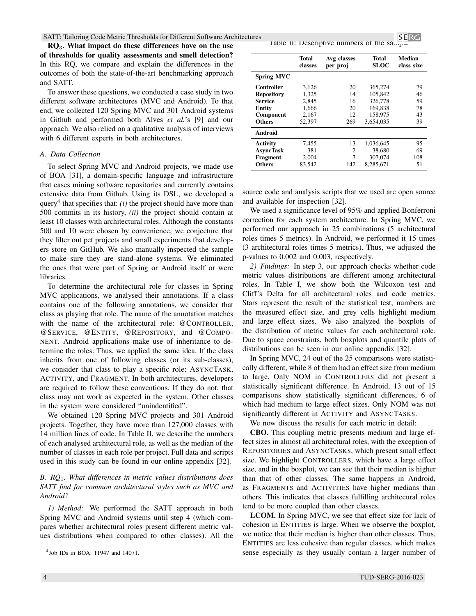$RQ<sub>3</sub>$ . What impact do these differences have on the use of thresholds for quality assessments and smell detection? In this RQ, we compare and explain the differences in the outcomes of both the state-of-the-art benchmarking approach and SATT.

To answer these questions, we conducted a case study in two different software architectures (MVC and Android). To that end, we collected 120 Spring MVC and 301 Android systems in Github and performed both Alves *et al.*'s [9] and our approach. We also relied on a qualitative analysis of interviews with 6 different experts in both architectures.

#### *A. Data Collection*

To select Spring MVC and Android projects, we made use of BOA [31], a domain-specific language and infrastructure that eases mining software repositories and currently contains extensive data from Github. Using its DSL, we developed a query<sup>4</sup> that specifies that: *(i)* the project should have more than 500 commits in its history, *(ii)* the project should contain at least 10 classes with architectural roles. Although the constants 500 and 10 were chosen by convenience, we conjecture that they filter out pet projects and small experiments that developers store on GitHub. We also manually inspected the sample to make sure they are stand-alone systems. We eliminated the ones that were part of Spring or Android itself or were libraries.

To determine the architectural role for classes in Spring MVC applications, we analysed their annotations. If a class contains one of the following annotations, we consider that class as playing that role. The name of the annotation matches with the name of the architectural role: @CONTROLLER, @SERVICE, @ENTITY, @REPOSITORY, and @COMPO-NENT. Android applications make use of inheritance to determine the roles. Thus, we applied the same idea. If the class inherits from one of following classes (or its sub-classes), we consider that class to play a specific role: ASYNCTASK, ACTIVITY, and FRAGMENT. In both architectures, developers are required to follow these conventions. If they do not, that class may not work as expected in the system. Other classes in the system were considered "unindentified".

We obtained 120 Spring MVC projects and 301 Android projects. Together, they have more than 127,000 classes with 14 million lines of code. In Table II, we describe the numbers of each analysed architectural role, as well as the median of the number of classes in each role per project. Full data and scripts used in this study can be found in our online appendix [32].

#### *B. RQ*1*. What differences in metric values distributions does SATT find for common architectural styles such as MVC and Android?*

*1) Method:* We performed the SATT approach in both Spring MVC and Android systems until step 4 (which compares whether architectural roles present different metric values distributions when compared to other classes). All the

4 Job IDs in BOA: 11947 and 14071.

Table II: Descriptive numbers of the sample **SERG** 

|                   | Total<br>classes | Avg classes<br>per proj | Total<br><b>SLOC</b> | Median<br>class size |  |
|-------------------|------------------|-------------------------|----------------------|----------------------|--|
| <b>Spring MVC</b> |                  |                         |                      |                      |  |
| Controller        | 3,126            | 20                      | 365,274              | 79                   |  |
| <b>Repository</b> | 1.325            | 14                      | 105.842              | 46                   |  |
| <b>Service</b>    | 2,845            | 16                      | 326,778              | 59                   |  |
| Entity            | 1.666            | 20                      | 169.838              | 78                   |  |
| Component         | 2,167            | 12                      | 158.975              | 43                   |  |
| <b>Others</b>     | 52,397           | 269                     | 3.654.035            | 39                   |  |
| Android           |                  |                         |                      |                      |  |
| <b>Activity</b>   | 7,455            | 13                      | 1,036,645            | 95                   |  |
| <b>AsyncTask</b>  | 381              | 2                       | 38.680               | 69                   |  |
| Fragment          | 2.004            | 7                       | 307,074              | 108                  |  |
| <b>Others</b>     | 83,542           | 142                     | 8,285,671            | 51                   |  |

source code and analysis scripts that we used are open source and available for inspection [32].

We used a significance level of 95% and applied Bonferroni correction for each system architecture. In Spring MVC, we performed our approach in 25 combinations (5 architectural roles times 5 metrics). In Android, we performed it 15 times (3 architectural roles times 5 metrics). Thus, we adjusted the p-values to 0.002 and 0.003, respectively.

*2) Findings:* In step 3, our approach checks whether code metric values distributions are different among architectural roles. In Table I, we show both the Wilcoxon test and Cliff's Delta for all architectural roles and code metrics. Stars represent the result of the statistical test, numbers are the measured effect size, and grey cells highlight medium and large effect sizes. We also analyzed the boxplots of the distribution of metric values for each architectural role. Due to space constraints, both boxplots and quantile plots of distributions can be seen in our online appendix [32].

In Spring MVC, 24 out of the 25 comparisons were statistically different, while 8 of them had an effect size from medium to large. Only NOM in CONTROLLERS did not present a statistically significant difference. In Android, 13 out of 15 comparisons show statistically significant differences, 6 of which had medium to large effect sizes. Only NOM was not significantly different in ACTIVITY and ASYNCTASKS.

We now discuss the results for each metric in detail:

CBO. This coupling metric presents medium and large effect sizes in almost all architectural roles, with the exception of REPOSITORIES and ASYNCTASKS, which present small effect size. We highlight CONTROLLERS, which have a large effect size, and in the boxplot, we can see that their median is higher than that of other classes. The same happens in Android, as FRAGMENTS and ACTIVITIES have higher medians than others. This indicates that classes fulfilling architecural roles tend to be more coupled than other classes.

LCOM. In Spring MVC, we see that effect size for lack of cohesion in ENTITIES is large. When we observe the boxplot, we notice that their median is higher than other classes. Thus, ENTITIES are less cohesive than regular classes, which makes sense especially as they usually contain a larger number of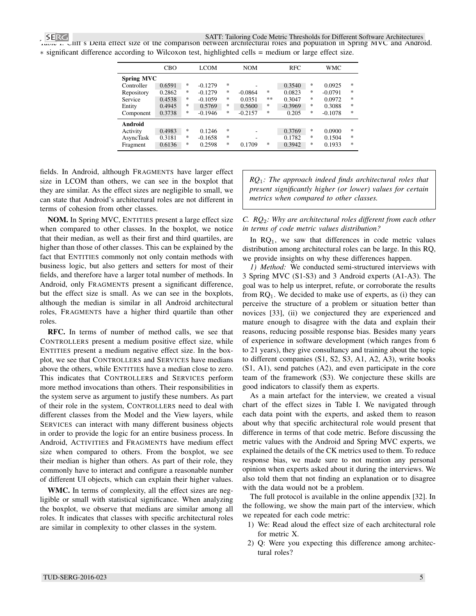SERG<br>
SATT: Tailoring Code Metric Thresholds for Different Software Architectures<br>
The comparison between architectural roles and population in Spring MVC and Android. SATT: Tailoring Code Metric Thresholds for Different Software Architectures

∗ significant difference according to Wilcoxon test, highlighted cells = medium or large effect size.

|            | <b>CBO</b><br><b>LCOM</b> |    | NOM       |        | <b>RFC</b> |        | WMC       |     |           |                                   |
|------------|---------------------------|----|-----------|--------|------------|--------|-----------|-----|-----------|-----------------------------------|
| Spring MVC |                           |    |           |        |            |        |           |     |           |                                   |
| Controller | 0.6591                    | ÷. | $-0.1279$ | $\ast$ |            |        | 0.3540    | $*$ | 0.0925    | $\frac{d\mathbf{r}}{d\mathbf{r}}$ |
| Repository | 0.2862                    | ÷. | $-0.1279$ | $\ast$ | $-0.0864$  | *      | 0.0823    | *   | $-0.0791$ | $\frac{1}{2}$                     |
| Service    | 0.4538                    | ×. | $-0.1059$ | $\ast$ | 0.0351     | **     | 0.3047    | *   | 0.0972    | *                                 |
| Entity     | 0.4945                    | ÷. | 0.5769    | *      | 0.5600     | *      | $-0.3969$ | *   | 0.3088    | $\frac{1}{2}$                     |
| Component  | 0.3738                    | ÷. | $-0.1946$ | $\ast$ | $-0.2157$  | $\ast$ | 0.205     | *   | $-0.1078$ | $\frac{d\mathbf{r}}{d\mathbf{r}}$ |
| Android    |                           |    |           |        |            |        |           |     |           |                                   |
| Activity   | 0.4983                    | ÷. | 0.1246    | $\ast$ |            |        | 0.3769    | *   | 0.0900    | 宋                                 |
| AsyncTask  | 0.3181                    | ∗  | $-0.1658$ | $\ast$ |            |        | 0.1782    | *   | 0.1504    | $\frac{d\mathbf{r}}{d\mathbf{r}}$ |
| Fragment   | 0.6136                    | ×. | 0.2598    | $\ast$ | 0.1709     | $\ast$ | 0.3942    | ×.  | 0.1933    | 索                                 |

fields. In Android, although FRAGMENTS have larger effect size in LCOM than others, we can see in the boxplot that they are similar. As the effect sizes are negligible to small, we can state that Android's architectural roles are not different in terms of cohesion from other classes.

NOM. In Spring MVC, ENTITIES present a large effect size when compared to other classes. In the boxplot, we notice that their median, as well as their first and third quartiles, are higher than those of other classes. This can be explained by the fact that ENTITIES commonly not only contain methods with business logic, but also getters and setters for most of their fields, and therefore have a larger total number of methods. In Android, only FRAGMENTS present a significant difference, but the effect size is small. As we can see in the boxplots, although the median is similar in all Android architectural roles, FRAGMENTS have a higher third quartile than other roles.

RFC. In terms of number of method calls, we see that CONTROLLERS present a medium positive effect size, while ENTITIES present a medium negative effect size. In the boxplot, we see that CONTROLLERS and SERVICES have medians above the others, while ENTITIES have a median close to zero. This indicates that CONTROLLERS and SERVICES perform more method invocations than others. Their responsibilities in the system serve as argument to justify these numbers. As part of their role in the system, CONTROLLERS need to deal with different classes from the Model and the View layers, while SERVICES can interact with many different business objects in order to provide the logic for an entire business process. In Android, ACTIVITIES and FRAGMENTS have medium effect size when compared to others. From the boxplot, we see their median is higher than others. As part of their role, they commonly have to interact and configure a reasonable number of different UI objects, which can explain their higher values. SERGENT IN SURTURE TRINSPECT TRINSPECT CONTINUES (SERVIT FRIDORIC COMENSION INTERFERING CONFIDENTIAL AND INTERFERING CONFIDENTIAL CONFIDENTIAL CONFIDENTIAL CONFIDENTIAL CONFIDENTIAL CONFIDENTIAL CONFIDENTIAL CONFIDENTIAL

WMC. In terms of complexity, all the effect sizes are negligible or small with statistical significance. When analyzing the boxplot, we observe that medians are similar among all roles. It indicates that classes with specific architectural roles are similar in complexity to other classes in the system.

*RQ*1*: The approach indeed finds architectural roles that present significantly higher (or lower) values for certain metrics when compared to other classes.*

*C. RQ*2*: Why are architectural roles different from each other in terms of code metric values distribution?*

In  $RQ_1$ , we saw that differences in code metric values distribution among architectural roles can be large. In this RQ, we provide insights on why these differences happen.

*1) Method:* We conducted semi-structured interviews with 3 Spring MVC (S1-S3) and 3 Android experts (A1-A3). The goal was to help us interpret, refute, or corroborate the results from  $RQ_1$ . We decided to make use of experts, as (i) they can perceive the structure of a problem or situation better than novices [33], (ii) we conjectured they are experienced and mature enough to disagree with the data and explain their reasons, reducing possible response bias. Besides many years of experience in software development (which ranges from 6 to 21 years), they give consultancy and training about the topic to different companies (S1, S2, S3, A1, A2, A3), write books (S1, A1), send patches (A2), and even participate in the core team of the framework (S3). We conjecture these skills are good indicators to classify them as experts.

As a main artefact for the interview, we created a visual chart of the effect sizes in Table I. We navigated through each data point with the experts, and asked them to reason about why that specific architectural role would present that difference in terms of that code metric. Before discussing the metric values with the Android and Spring MVC experts, we explained the details of the CK metrics used to them. To reduce response bias, we made sure to not mention any personal opinion when experts asked about it during the interviews. We also told them that not finding an explanation or to disagree with the data would not be a problem.

The full protocol is available in the online appendix [32]. In the following, we show the main part of the interview, which we repeated for each code metric:

- 1) We: Read aloud the effect size of each architectural role for metric X.
- 2) Q: Were you expecting this difference among architec-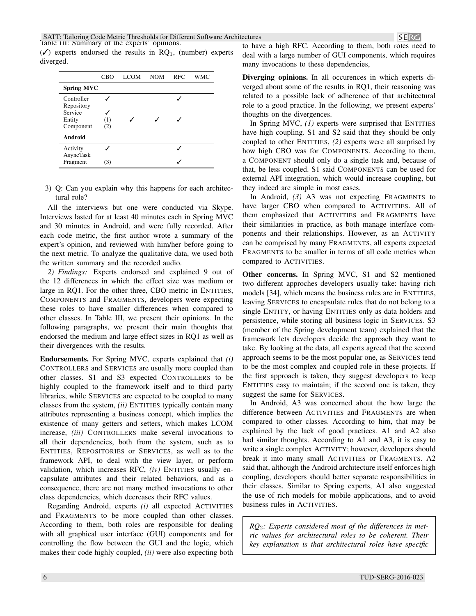$({\checkmark})$  experts endorsed the results in RQ<sub>1</sub>, (number) experts diverged.

|                          | <b>CBO</b> | <b>LCOM</b> | <b>NOM</b> | <b>RFC</b> | <b>WMC</b> |  |  |
|--------------------------|------------|-------------|------------|------------|------------|--|--|
| <b>Spring MVC</b>        |            |             |            |            |            |  |  |
| Controller<br>Repository |            |             |            |            |            |  |  |
| Service                  |            |             |            |            |            |  |  |
| Entity<br>Component      | (1)<br>(2) |             |            |            |            |  |  |
| <b>Android</b>           |            |             |            |            |            |  |  |
| Activity                 |            |             |            |            |            |  |  |
| AsyncTask<br>Fragment    | (3)        |             |            |            |            |  |  |

3) Q: Can you explain why this happens for each architectural role?

All the interviews but one were conducted via Skype. Interviews lasted for at least 40 minutes each in Spring MVC and 30 minutes in Android, and were fully recorded. After each code metric, the first author wrote a summary of the expert's opinion, and reviewed with him/her before going to the next metric. To analyze the qualitative data, we used both the written summary and the recorded audio.

*2) Findings:* Experts endorsed and explained 9 out of the 12 differences in which the effect size was medium or large in RQ1. For the other three, CBO metric in ENTITIES, COMPONENTS and FRAGMENTS, developers were expecting these roles to have smaller differences when compared to other classes. In Table III, we present their opinions. In the following paragraphs, we present their main thoughts that endorsed the medium and large effect sizes in RQ1 as well as their divergences with the results.

Endorsements. For Spring MVC, experts explained that *(i)* CONTROLLERS and SERVICES are usually more coupled than other classes. S1 and S3 expected CONTROLLERS to be highly coupled to the framework itself and to third party libraries, while SERVICES are expected to be coupled to many classes from the system, *(ii)* ENTITIES typically contain many attributes representing a business concept, which implies the existence of many getters and setters, which makes LCOM increase, *(iii)* CONTROLLERS make several invocations to all their dependencies, both from the system, such as to ENTITIES, REPOSITORIES or SERVICES, as well as to the framework API, to deal with the view layer, or perform validation, which increases RFC, *(iv)* ENTITIES usually encapsulate attributes and their related behaviors, and as a consequence, there are not many method invocations to other class dependencies, which decreases their RFC values.

Regarding Android, experts *(i)* all expected ACTIVITIES and FRAGMENTS to be more coupled than other classes. According to them, both roles are responsible for dealing with all graphical user interface (GUI) components and for controlling the flow between the GUI and the logic, which makes their code highly coupled, *(ii)* were also expecting both

to have a high RFC. According to them, both roles need to deal with a large number of GUI components, which requires many invocations to these dependencies,

Diverging opinions. In all occurences in which experts diverged about some of the results in RQ1, their reasoning was related to a possible lack of adherence of that architectural role to a good practice. In the following, we present experts' thoughts on the divergences.

In Spring MVC, *(1)* experts were surprised that ENTITIES have high coupling. S1 and S2 said that they should be only coupled to other ENTITIES, *(2)* experts were all surprised by how high CBO was for COMPONENTS. According to them, a COMPONENT should only do a single task and, because of that, be less coupled. S1 said COMPONENTS can be used for external API integration, which would increase coupling, but they indeed are simple in most cases.

In Android, *(3)* A3 was not expecting FRAGMENTS to have larger CBO when compared to ACTIVITIES. All of them emphasized that ACTIVITIES and FRAGMENTS have their similarities in practice, as both manage interface components and their relationships. However, as an ACTIVITY can be comprised by many FRAGMENTS, all experts expected FRAGMENTS to be smaller in terms of all code metrics when compared to ACTIVITIES.

Other concerns. In Spring MVC, S1 and S2 mentioned two different approches developers usually take: having rich models [34], which means the business rules are in ENTITIES, leaving SERVICES to encapsulate rules that do not belong to a single ENTITY, or having ENTITIES only as data holders and persistence, while storing all business logic in SERVICES. S3 (member of the Spring development team) explained that the framework lets developers decide the approach they want to take. By looking at the data, all experts agreed that the second approach seems to be the most popular one, as SERVICES tend to be the most complex and coupled role in these projects. If the first approach is taken, they suggest developers to keep ENTITIES easy to maintain; if the second one is taken, they suggest the same for SERVICES.

In Android, A3 was concerned about the how large the difference between ACTIVITIES and FRAGMENTS are when compared to other classes. According to him, that may be explained by the lack of good practices. A1 and A2 also had similar thoughts. According to A1 and A3, it is easy to write a single complex ACTIVITY; however, developers should break it into many small ACTIVITIES or FRAGMENTS. A2 said that, although the Android architecture itself enforces high coupling, developers should better separate responsibilities in their classes. Similar to Spring experts, A1 also suggested the use of rich models for mobile applications, and to avoid business rules in ACTIVITIES.

*RQ*2*: Experts considered most of the differences in metric values for architectural roles to be coherent. Their key explanation is that architectural roles have specific*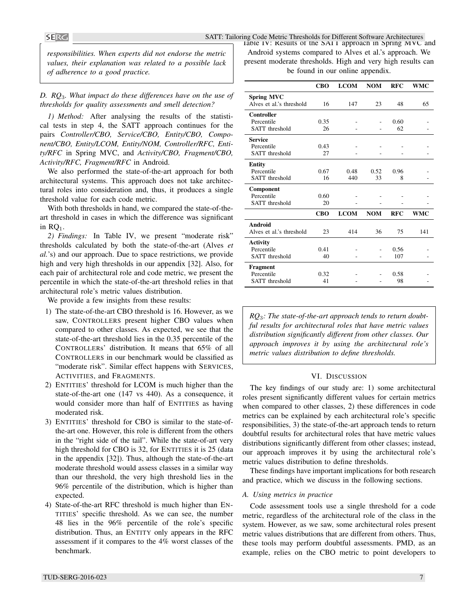- 1) The state-of-the-art CBO threshold is 16. However, as we saw, CONTROLLERS present higher CBO values when compared to other classes. As expected, we see that the state-of-the-art threshold lies in the 0.35 percentile of the CONTROLLERs' distribution. It means that 65% of all CONTROLLERS in our benchmark would be classified as "moderate risk". Similar effect happens with SERVICES, ACTIVITIES, and FRAGMENTS.
- 2) ENTITIES' threshold for LCOM is much higher than the state-of-the-art one (147 vs 440). As a consequence, it would consider more than half of ENTITIES as having moderated risk.
- 3) ENTITIES' threshold for CBO is similar to the state-ofthe-art one. However, this role is different from the others in the "right side of the tail". While the state-of-art very high threshold for CBO is 32, for ENTITIES it is 25 (data in the appendix [32]). Thus, although the state-of-the-art moderate threshold would assess classes in a similar way than our threshold, the very high threshold lies in the 96% percentile of the distribution, which is higher than expected.
- 4) State-of-the-art RFC threshold is much higher than EN-TITIES' specific threshold. As we can see, the number 48 lies in the 96% percentile of the role's specific distribution. Thus, an ENTITY only appears in the RFC assessment if it compares to the 4% worst classes of the benchmark.

| <b>SERG</b>                                                                                                                                                                                                                                                                                                                                                                                                                                                                                                              | SATT: Tailoring Code Metric Thresholds for Different Software Architectures                                                                                                                                                                                                                                                                                                              |                                                                                                                                                                                                                                                                                                                                                                                                                                                                                             |             |                |             |            |  |  |  |
|--------------------------------------------------------------------------------------------------------------------------------------------------------------------------------------------------------------------------------------------------------------------------------------------------------------------------------------------------------------------------------------------------------------------------------------------------------------------------------------------------------------------------|------------------------------------------------------------------------------------------------------------------------------------------------------------------------------------------------------------------------------------------------------------------------------------------------------------------------------------------------------------------------------------------|---------------------------------------------------------------------------------------------------------------------------------------------------------------------------------------------------------------------------------------------------------------------------------------------------------------------------------------------------------------------------------------------------------------------------------------------------------------------------------------------|-------------|----------------|-------------|------------|--|--|--|
| responsibilities. When experts did not endorse the metric<br>values, their explanation was related to a possible lack                                                                                                                                                                                                                                                                                                                                                                                                    | Table IV: Kesults of the SATT approach in Spring MVC and<br>Android systems compared to Alves et al.'s approach. We<br>present moderate thresholds. High and very high results can                                                                                                                                                                                                       |                                                                                                                                                                                                                                                                                                                                                                                                                                                                                             |             |                |             |            |  |  |  |
| of adherence to a good practice.                                                                                                                                                                                                                                                                                                                                                                                                                                                                                         |                                                                                                                                                                                                                                                                                                                                                                                          | be found in our online appendix.                                                                                                                                                                                                                                                                                                                                                                                                                                                            |             |                |             |            |  |  |  |
|                                                                                                                                                                                                                                                                                                                                                                                                                                                                                                                          |                                                                                                                                                                                                                                                                                                                                                                                          | <b>CBO</b>                                                                                                                                                                                                                                                                                                                                                                                                                                                                                  | <b>LCOM</b> | <b>NOM</b>     | <b>RFC</b>  | <b>WMC</b> |  |  |  |
| $RQ_3$ . What impact do these differences have on the use of<br>resholds for quality assessments and smell detection?                                                                                                                                                                                                                                                                                                                                                                                                    | <b>Spring MVC</b><br>Alves et al.'s threshold                                                                                                                                                                                                                                                                                                                                            | 16                                                                                                                                                                                                                                                                                                                                                                                                                                                                                          | 147         | 23             | 48          | 65         |  |  |  |
| 1) Method: After analysing the results of the statisti-<br>al tests in step 4, the SATT approach continues for the<br>airs Controller/CBO, Service/CBO, Entity/CBO, Compo-                                                                                                                                                                                                                                                                                                                                               | Controller<br>Percentile<br>SATT threshold                                                                                                                                                                                                                                                                                                                                               | 0.35<br>26                                                                                                                                                                                                                                                                                                                                                                                                                                                                                  |             | $\overline{a}$ | 0.60<br>62  |            |  |  |  |
| ent/CBO, Entity/LCOM, Entity/NOM, Controller/RFC, Enti-<br>/RFC in Spring MVC, and Activity/CBO, Fragment/CBO,                                                                                                                                                                                                                                                                                                                                                                                                           | <b>Service</b><br>Percentile<br>SATT threshold                                                                                                                                                                                                                                                                                                                                           | 0.43<br>27                                                                                                                                                                                                                                                                                                                                                                                                                                                                                  |             |                |             |            |  |  |  |
| ctivity/RFC, Fragment/RFC in Android.<br>We also performed the state-of-the-art approach for both<br>chitectural systems. This approach does not take architec-                                                                                                                                                                                                                                                                                                                                                          | <b>Entity</b><br>Percentile<br>SATT threshold                                                                                                                                                                                                                                                                                                                                            | 0.67<br>16                                                                                                                                                                                                                                                                                                                                                                                                                                                                                  | 0.48<br>440 | 0.52<br>33     | 0.96<br>8   |            |  |  |  |
| ral roles into consideration and, thus, it produces a single<br>reshold value for each code metric.<br>With both thresholds in hand, we compared the state-of-the-                                                                                                                                                                                                                                                                                                                                                       | Component<br>Percentile<br>SATT threshold                                                                                                                                                                                                                                                                                                                                                | 0.60<br>20                                                                                                                                                                                                                                                                                                                                                                                                                                                                                  |             |                |             |            |  |  |  |
| t threshold in cases in which the difference was significant                                                                                                                                                                                                                                                                                                                                                                                                                                                             |                                                                                                                                                                                                                                                                                                                                                                                          | <b>CBO</b>                                                                                                                                                                                                                                                                                                                                                                                                                                                                                  | <b>LCOM</b> | <b>NOM</b>     | <b>RFC</b>  | <b>WMC</b> |  |  |  |
| $RQ_1$ .<br>2) Findings: In Table IV, we present "moderate risk"                                                                                                                                                                                                                                                                                                                                                                                                                                                         | Android<br>Alves et al.'s threshold                                                                                                                                                                                                                                                                                                                                                      | 23                                                                                                                                                                                                                                                                                                                                                                                                                                                                                          | 414         | 36             | 75          | 141        |  |  |  |
| resholds calculated by both the state-of-the-art (Alves et<br>'s) and our approach. Due to space restrictions, we provide                                                                                                                                                                                                                                                                                                                                                                                                | <b>Activity</b><br>Percentile<br>SATT threshold                                                                                                                                                                                                                                                                                                                                          | 0.41<br>40                                                                                                                                                                                                                                                                                                                                                                                                                                                                                  |             |                | 0.56<br>107 |            |  |  |  |
| gh and very high thresholds in our appendix [32]. Also, for<br>ach pair of architectural role and code metric, we present the<br>ercentile in which the state-of-the-art threshold relies in that                                                                                                                                                                                                                                                                                                                        | Fragment<br>Percentile<br>SATT threshold                                                                                                                                                                                                                                                                                                                                                 | 0.32<br>41                                                                                                                                                                                                                                                                                                                                                                                                                                                                                  |             | $\overline{a}$ | 0.58<br>98  |            |  |  |  |
| chitectural role's metric values distribution.<br>We provide a few insights from these results:                                                                                                                                                                                                                                                                                                                                                                                                                          |                                                                                                                                                                                                                                                                                                                                                                                          |                                                                                                                                                                                                                                                                                                                                                                                                                                                                                             |             |                |             |            |  |  |  |
| 1) The state-of-the-art CBO threshold is 16. However, as we<br>saw, CONTROLLERS present higher CBO values when<br>compared to other classes. As expected, we see that the<br>state-of-the-art threshold lies in the 0.35 percentile of the<br>CONTROLLERS' distribution. It means that 65% of all<br>CONTROLLERS in our benchmark would be classified as                                                                                                                                                                 |                                                                                                                                                                                                                                                                                                                                                                                          | $RQ_3$ : The state-of-the-art approach tends to return doubt-<br>ful results for architectural roles that have metric values<br>distribution significantly different from other classes. Our<br>approach improves it by using the architectural role's<br>metric values distribution to define thresholds.                                                                                                                                                                                  |             |                |             |            |  |  |  |
| "moderate risk". Similar effect happens with SERVICES,<br>ACTIVITIES, and FRAGMENTS.                                                                                                                                                                                                                                                                                                                                                                                                                                     |                                                                                                                                                                                                                                                                                                                                                                                          | VI. DISCUSSION                                                                                                                                                                                                                                                                                                                                                                                                                                                                              |             |                |             |            |  |  |  |
| 2) ENTITIES' threshold for LCOM is much higher than the<br>state-of-the-art one (147 vs 440). As a consequence, it<br>would consider more than half of ENTITIES as having<br>moderated risk.                                                                                                                                                                                                                                                                                                                             |                                                                                                                                                                                                                                                                                                                                                                                          | The key findings of our study are: 1) some architectural<br>roles present significantly different values for certain metrics<br>when compared to other classes, 2) these differences in code<br>metrics can be explained by each architectural role's specific                                                                                                                                                                                                                              |             |                |             |            |  |  |  |
| ENTITIES' threshold for CBO is similar to the state-of-<br>3)<br>the-art one. However, this role is different from the others<br>in the "right side of the tail". While the state-of-art very<br>high threshold for CBO is 32, for ENTITIES it is 25 (data<br>in the appendix [32]). Thus, although the state-of-the-art<br>moderate threshold would assess classes in a similar way<br>than our threshold, the very high threshold lies in the<br>96% percentile of the distribution, which is higher than<br>expected. |                                                                                                                                                                                                                                                                                                                                                                                          | responsibilities, 3) the state-of-the-art approach tends to return<br>doubtful results for architectural roles that have metric values<br>distributions significantly different from other classes; instead,<br>our approach improves it by using the architectural role's<br>metric values distribution to define thresholds.<br>These findings have important implications for both research<br>and practice, which we discuss in the following sections.<br>A. Using metrics in practice |             |                |             |            |  |  |  |
| State-of-the-art RFC threshold is much higher than EN-<br>TITIES' specific threshold. As we can see, the number<br>48 lies in the 96% percentile of the role's specific<br>distribution. Thus, an ENTITY only appears in the RFC<br>assessment if it compares to the 4% worst classes of the<br>benchmark.                                                                                                                                                                                                               | Code assessment tools use a single threshold for a code<br>metric, regardless of the architectural role of the class in the<br>system. However, as we saw, some architectural roles present<br>metric values distributions that are different from others. Thus,<br>these tools may perform doubtful assessments. PMD, as an<br>example, relies on the CBO metric to point developers to |                                                                                                                                                                                                                                                                                                                                                                                                                                                                                             |             |                |             |            |  |  |  |

#### VI. DISCUSSION

#### *A. Using metrics in practice*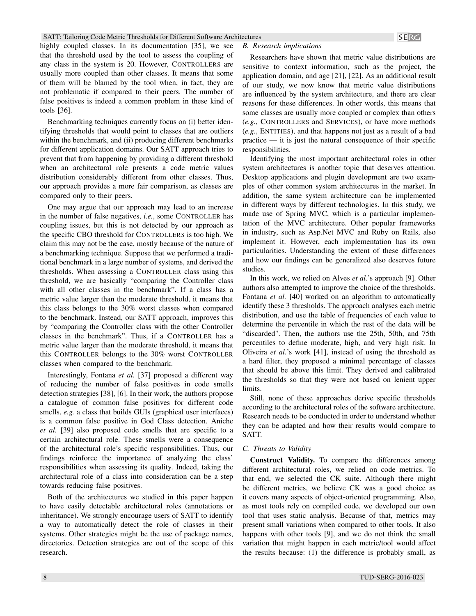*B. Research implications*

highly coupled classes. In its documentation [35], we see that the threshold used by the tool to assess the coupling of any class in the system is 20. However, CONTROLLERS are usually more coupled than other classes. It means that some of them will be blamed by the tool when, in fact, they are not problematic if compared to their peers. The number of false positives is indeed a common problem in these kind of tools [36].

Benchmarking techniques currently focus on (i) better identifying thresholds that would point to classes that are outliers within the benchmark, and (ii) producing different benchmarks for different application domains. Our SATT approach tries to prevent that from happening by providing a different threshold when an architectural role presents a code metric values distribution considerably different from other classes. Thus, our approach provides a more fair comparison, as classes are compared only to their peers.

One may argue that our approach may lead to an increase in the number of false negatives, *i.e.*, some CONTROLLER has coupling issues, but this is not detected by our approach as the specific CBO threshold for CONTROLLERS is too high. We claim this may not be the case, mostly because of the nature of a benchmarking technique. Suppose that we performed a traditional benchmark in a large number of systems, and derived the thresholds. When assessing a CONTROLLER class using this threshold, we are basically "comparing the Controller class with all other classes in the benchmark". If a class has a metric value larger than the moderate threshold, it means that this class belongs to the 30% worst classes when compared to the benchmark. Instead, our SATT approach, improves this by "comparing the Controller class with the other Controller classes in the benchmark". Thus, if a CONTROLLER has a metric value larger than the moderate threshold, it means that this CONTROLLER belongs to the 30% worst CONTROLLER classes when compared to the benchmark.

Interestingly, Fontana *et al.* [37] proposed a different way of reducing the number of false positives in code smells detection strategies [38], [6]. In their work, the authors propose a catalogue of common false positives for different code smells, *e.g.* a class that builds GUIs (graphical user interfaces) is a common false positive in God Class detection. Aniche *et al.* [39] also proposed code smells that are specific to a certain architectural role. These smells were a consequence of the architectural role's specific responsibilities. Thus, our findings reinforce the importance of analyzing the class' responsibilities when assessing its quality. Indeed, taking the architectural role of a class into consideration can be a step towards reducing false positives.

Both of the architectures we studied in this paper happen to have easily detectable architectural roles (annotations or inheritance). We strongly encourage users of SATT to identify a way to automatically detect the role of classes in their systems. Other strategies might be the use of package names, directories. Detection strategies are out of the scope of this research.

Researchers have shown that metric value distributions are sensitive to context information, such as the project, the application domain, and age [21], [22]. As an additional result of our study, we now know that metric value distributions are influenced by the system architecture, and there are clear reasons for these differences. In other words, this means that some classes are usually more coupled or complex than others (*e.g.*, CONTROLLERS and SERVICES), or have more methods (*e.g.*, ENTITIES), and that happens not just as a result of a bad practice — it is just the natural consequence of their specific responsibilities.

Identifying the most important architectural roles in other system architectures is another topic that deserves attention. Desktop applications and plugin development are two examples of other common system architectures in the market. In addition, the same system architecture can be implemented in different ways by different technologies. In this study, we made use of Spring MVC, which is a particular implementation of the MVC architecture. Other popular frameworks in industry, such as Asp.Net MVC and Ruby on Rails, also implement it. However, each implementation has its own particularities. Understanding the extent of these differences and how our findings can be generalized also deserves future studies.

In this work, we relied on Alves *et al.*'s approach [9]. Other authors also attempted to improve the choice of the thresholds. Fontana *et al.* [40] worked on an algorithm to automatically identify these 3 thresholds. The approach analyses each metric distribution, and use the table of frequencies of each value to determine the percentile in which the rest of the data will be "discarded". Then, the authors use the 25th, 50th, and 75th percentiles to define moderate, high, and very high risk. In Oliveira *et al.*'s work [41], instead of using the threshold as a hard filter, they proposed a minimal percentage of classes that should be above this limit. They derived and calibrated the thresholds so that they were not based on lenient upper limits.

Still, none of these approaches derive specific thresholds according to the architectural roles of the software architecture. Research needs to be conducted in order to understand whether they can be adapted and how their results would compare to SATT.

#### *C. Threats to Validity*

Construct Validity. To compare the differences among different architectural roles, we relied on code metrics. To that end, we selected the CK suite. Although there might be different metrics, we believe CK was a good choice as it covers many aspects of object-oriented programming. Also, as most tools rely on compiled code, we developed our own tool that uses static analysis. Because of that, metrics may present small variations when compared to other tools. It also happens with other tools [9], and we do not think the small variation that might happen in each metric/tool would affect the results because: (1) the difference is probably small, as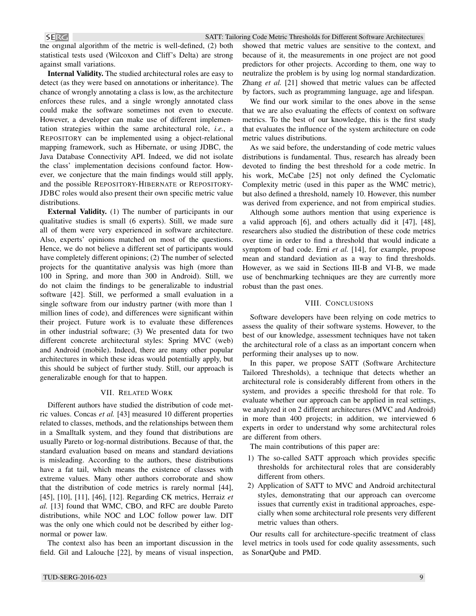the original algorithm of the metric is well-defined, (2) both statistical tests used (Wilcoxon and Cliff's Delta) are strong against small variations.

Internal Validity. The studied architectural roles are easy to detect (as they were based on annotations or inheritance). The chance of wrongly annotating a class is low, as the architecture enforces these rules, and a single wrongly annotated class could make the software sometimes not even to execute. However, a developer can make use of different implementation strategies within the same architectural role, *i.e.*, a REPOSITORY can be implemented using a object-relational mapping framework, such as Hibernate, or using JDBC, the Java Database Connectivity API. Indeed, we did not isolate the class' implementation decisions confound factor. However, we conjecture that the main findings would still apply, and the possible REPOSITORY-HIBERNATE or REPOSITORY-JDBC roles would also present their own specific metric value distributions.

External Validity. (1) The number of participants in our qualitative studies is small (6 experts). Still, we made sure all of them were very experienced in software architecture. Also, experts' opinions matched on most of the questions. Hence, we do not believe a different set of participants would have completely different opinions; (2) The number of selected projects for the quantitative analysis was high (more than 100 in Spring, and more than 300 in Android). Still, we do not claim the findings to be generalizable to industrial software [42]. Still, we performed a small evaluation in a single software from our industry partner (with more than 1 million lines of code), and differences were significant within their project. Future work is to evaluate these differences in other industrial software; (3) We presented data for two different concrete architectural styles: Spring MVC (web) and Android (mobile). Indeed, there are many other popular architectures in which these ideas would potentially apply, but this should be subject of further study. Still, our approach is generalizable enough for that to happen. STERG and a<br>periodic metric is well-defined. (2) both a howed that metric<br>as constant and depriving into the metric is well-defined. (2) both aboved that metric values<br>interest and (Whoreas and Chinese the case of the met

#### VII. RELATED WORK

Different authors have studied the distribution of code metric values. Concas *et al.* [43] measured 10 different properties related to classes, methods, and the relationships between them in a Smalltalk system, and they found that distributions are usually Pareto or log-normal distributions. Because of that, the standard evaluation based on means and standard deviations is misleading. According to the authors, these distributions have a fat tail, which means the existence of classes with extreme values. Many other authors corroborate and show that the distribution of code metrics is rarely normal [44], [45], [10], [11], [46], [12]. Regarding CK metrics, Herraiz *et al.* [13] found that WMC, CBO, and RFC are double Pareto distributions, while NOC and LOC follow power law. DIT was the only one which could not be described by either lognormal or power law.

The context also has been an important discussion in the field. Gil and Lalouche [22], by means of visual inspection, showed that metric values are sensitive to the context, and because of it, the measurements in one project are not good predictors for other projects. According to them, one way to neutralize the problem is by using log normal standardization. Zhang *et al.* [21] showed that metric values can be affected by factors, such as programming language, age and lifespan.

We find our work similar to the ones above in the sense that we are also evaluating the effects of context on software metrics. To the best of our knowledge, this is the first study that evaluates the influence of the system architecture on code metric values distributions.

As we said before, the understanding of code metric values distributions is fundamental. Thus, research has already been devoted to finding the best threshold for a code metric. In his work, McCabe [25] not only defined the Cyclomatic Complexity metric (used in this paper as the WMC metric), but also defined a threshold, namely 10. However, this number was derived from experience, and not from empirical studies.

Although some authors mention that using experience is a valid approach [6], and others actually did it [47], [48], researchers also studied the distribution of these code metrics over time in order to find a threshold that would indicate a symptom of bad code. Erni *et al.* [14], for example, propose mean and standard deviation as a way to find thresholds. However, as we said in Sections III-B and VI-B, we made use of benchmarking techniques are they are currently more robust than the past ones.

#### VIII. CONCLUSIONS

Software developers have been relying on code metrics to assess the quality of their software systems. However, to the best of our knowledge, assessment techniques have not taken the architectural role of a class as an important concern when performing their analyses up to now.

In this paper, we propose SATT (Software Architecture Tailored Thresholds), a technique that detects whether an architectural role is considerably different from others in the system, and provides a specific threshold for that role. To evaluate whether our approach can be applied in real settings, we analyzed it on 2 different architectures (MVC and Android) in more than 400 projects; in addition, we interviewed 6 experts in order to understand why some architectural roles are different from others.

The main contributions of this paper are:

- 1) The so-called SATT approach which provides specific thresholds for architectural roles that are considerably different from others.
- 2) Application of SATT to MVC and Android architectural styles, demonstrating that our approach can overcome issues that currently exist in traditional approaches, especially when some architectural role presents very different metric values than others.

Our results call for architecture-specific treatment of class level metrics in tools used for code quality assessments, such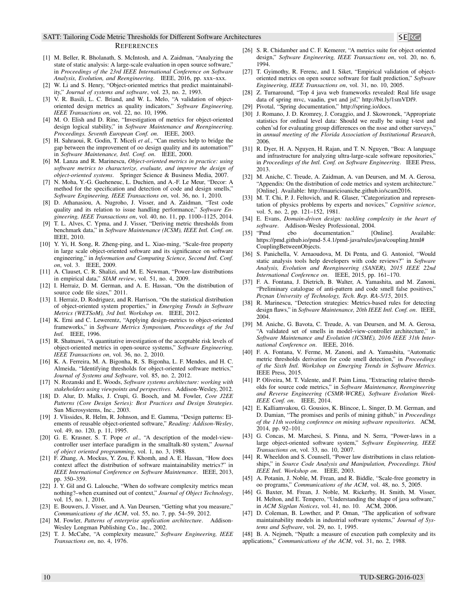#### SATT: Tailoring Code Metric Thresholds for Different Software Architectures

#### **REFERENCES**

- [1] M. Beller, R. Bholanath, S. McIntosh, and A. Zaidman, "Analyzing the state of static analysis: A large-scale evaluation in open source software," in *Proceedings of the 23rd IEEE International Conference on Software Analysis, Evolution, and Reengineering*. IEEE, 2016, pp. xxx–xxx.
- [2] W. Li and S. Henry, "Object-oriented metrics that predict maintainability," *Journal of systems and software*, vol. 23, no. 2, 1993.
- [3] V. R. Basili, L. C. Briand, and W. L. Melo, "A validation of objectoriented design metrics as quality indicators," *Software Engineering, IEEE Transactions on*, vol. 22, no. 10, 1996.
- [4] M. O. Elish and D. Rine, "Investigation of metrics for object-oriented design logical stability," in *Software Maintenance and Reengineering. Proceedings. Seventh European Conf. on*. IEEE, 2003.
- [5] H. Sahraoui, R. Godin, T. Miceli *et al.*, "Can metrics help to bridge the gap between the improvement of oo design quality and its automation?" in *Software Maintenance, Intl. Conf. on*. IEEE, 2000.
- [6] M. Lanza and R. Marinescu, *Object-oriented metrics in practice: using software metrics to characterize, evaluate, and improve the design of object-oriented systems*. Springer Science & Business Media, 2007.
- [7] N. Moha, Y.-G. Gueheneuc, L. Duchien, and A.-F. Le Meur, "Decor: A method for the specification and detection of code and design smells," *Software Engineering, IEEE Transactions on*, vol. 36, no. 1, 2010.
- [8] D. Athanasiou, A. Nugroho, J. Visser, and A. Zaidman, "Test code quality and its relation to issue handling performance," *Software Engineering, IEEE Transactions on*, vol. 40, no. 11, pp. 1100–1125, 2014.
- [9] T. L. Alves, C. Ypma, and J. Visser, "Deriving metric thresholds from benchmark data," in *Software Maintenance (ICSM), IEEE Intl. Conf. on*. IEEE, 2010.
- [10] Y. Yi, H. Song, R. Zheng-ping, and L. Xiao-ming, "Scale-free property in large scale object-oriented software and its significance on software engineering," in *Information and Computing Science, Second Intl. Conf. on*, vol. 3. IEEE, 2009.
- [11] A. Clauset, C. R. Shalizi, and M. E. Newman, "Power-law distributions in empirical data," *SIAM review*, vol. 51, no. 4, 2009.
- [12] I. Herraiz, D. M. German, and A. E. Hassan, "On the distribution of source code file sizes," 2011.
- [13] I. Herraiz, D. Rodriguez, and R. Harrison, "On the statistical distribution of object-oriented system properties," in *Emerging Trends in Software Metrics (WETSoM), 3rd Intl. Workshop on*. IEEE, 2012.
- [14] K. Erni and C. Lewerentz, "Applying design-metrics to object-oriented frameworks," in *Software Metrics Symposium, Proceedings of the 3rd Intl.* IEEE, 1996.
- [15] R. Shatnawi, "A quantitative investigation of the acceptable risk levels of object-oriented metrics in open-source systems," *Software Engineering, IEEE Transactions on*, vol. 36, no. 2, 2010.
- [16] K. A. Ferreira, M. A. Bigonha, R. S. Bigonha, L. F. Mendes, and H. C. Almeida, "Identifying thresholds for object-oriented software metrics," *Journal of Systems and Software*, vol. 85, no. 2, 2012.
- [17] N. Rozanski and E. Woods, *Software systems architecture: working with stakeholders using viewpoints and perspectives*. Addison-Wesley, 2012.
- [18] D. Alur, D. Malks, J. Crupi, G. Booch, and M. Fowler, *Core J2EE Patterns (Core Design Series): Best Practices and Design Strategies*. Sun Microsystems, Inc., 2003.
- [19] J. Vlissides, R. Helm, R. Johnson, and E. Gamma, "Design patterns: Elements of reusable object-oriented software," *Reading: Addison-Wesley*, vol. 49, no. 120, p. 11, 1995.
- [20] G. E. Krasner, S. T. Pope *et al.*, "A description of the model-viewcontroller user interface paradigm in the smalltalk-80 system," *Journal of object oriented programming*, vol. 1, no. 3, 1988.
- [21] F. Zhang, A. Mockus, Y. Zou, F. Khomh, and A. E. Hassan, "How does context affect the distribution of software maintainability metrics?" in *IEEE International Conference on Software Maintenance*. IEEE, 2013, pp. 350–359.
- [22] J. Y. Gil and G. Lalouche, "When do software complexity metrics mean nothing?–when examined out of context," *Journal of Object Technology*, vol. 15, no. 1, 2016.
- [23] E. Bouwers, J. Visser, and A. Van Deursen, "Getting what you measure," *Communications of the ACM*, vol. 55, no. 7, pp. 54–59, 2012.
- [24] M. Fowler, *Patterns of enterprise application architecture*. Addison-Wesley Longman Publishing Co., Inc., 2002.
- [25] T. J. McCabe, "A complexity measure," *Software Engineering, IEEE Transactions on*, no. 4, 1976.
- [26] S. R. Chidamber and C. F. Kemerer, "A metrics suite for object oriented design," *Software Engineering, IEEE Transactions on*, vol. 20, no. 6, 1994.
- [27] T. Gyimothy, R. Ferenc, and I. Siket, "Empirical validation of objectoriented metrics on open source software for fault prediction," *Software Engineering, IEEE Transactions on*, vol. 31, no. 10, 2005.
- [28] Z. Turnaround, "Top 4 java web frameworks revealed: Real life usage data of spring mvc, vaadin, gwt and jsf," http://bit.ly/1smVDf9.
- [29] Pivotal, "Spring documentation," http://spring.io/docs.
- [30] J. Romano, J. D. Kromrey, J. Coraggio, and J. Skowronek, "Appropriate statistics for ordinal level data: Should we really be using t-test and cohen'sd for evaluating group differences on the nsse and other surveys," in *annual meeting of the Florida Association of Institutional Research*, 2006.
- [31] R. Dyer, H. A. Nguyen, H. Rajan, and T. N. Nguyen, "Boa: A language and infrastructure for analyzing ultra-large-scale software repositories, in *Proceedings of the Intl. Conf. on Software Engineering*. IEEE Press, 2013.
- [32] M. Aniche, C. Treude, A. Zaidman, A. van Deursen, and M. A. Gerosa, "Appendix: On the distribution of code metrics and system architecture." [Online]. Available: http://mauricioaniche.github.io/scam2016.
- [33] M. T. Chi, P. J. Feltovich, and R. Glaser, "Categorization and representation of physics problems by experts and novices," *Cognitive science*, vol. 5, no. 2, pp. 121–152, 1981.
- [34] E. Evans, *Domain-driven design: tackling complexity in the heart of software*. Addison-Wesley Professional, 2004.
- [35] "Pmd cbo documentation." [Online]. Available: https://pmd.github.io/pmd-5.4.1/pmd-java/rules/java/coupling.html# CouplingBetweenObjects.
- [36] S. Panichella, V. Arnaoudova, M. Di Penta, and G. Antoniol, "Would static analysis tools help developers with code reviews?" in *Software Analysis, Evolution and Reengineering (SANER), 2015 IEEE 22nd International Conference on*. IEEE, 2015, pp. 161–170.
- [37] F. A. Fontana, J. Dietrich, B. Walter, A. Yamashita, and M. Zanoni, "Preliminary catalogue of anti-pattern and code smell false positives," *Poznan University of Technology, Tech. Rep. RA-5/15*, 2015.
- [38] R. Marinescu, "Detection strategies: Metrics-based rules for detecting design flaws," in *Software Maintenance, 20th IEEE Intl. Conf. on*. IEEE, 2004.
- [39] M. Aniche, G. Bavota, C. Treude, A. van Deursen, and M. A. Gerosa, "A validated set of smells in model-view-controller architecture," in *Software Maintenance and Evolution (ICSME), 2016 IEEE 31th International Conference on*. IEEE, 2016.
- [40] F. A. Fontana, V. Ferme, M. Zanoni, and A. Yamashita, "Automatic metric thresholds derivation for code smell detection," in *Proceedings of the Sixth Intl. Workshop on Emerging Trends in Software Metrics*. IEEE Press, 2015.
- [41] P. Oliveira, M. T. Valente, and F. Paim Lima, "Extracting relative thresholds for source code metrics," in *Software Maintenance, Reengineering and Reverse Engineering (CSMR-WCRE), Software Evolution Week-IEEE Conf. on*. IEEE, 2014.
- [42] E. Kalliamvakou, G. Gousios, K. Blincoe, L. Singer, D. M. German, and D. Damian, "The promises and perils of mining github," in *Proceedings of the 11th working conference on mining software repositories*. ACM, 2014, pp. 92–101.
- [43] G. Concas, M. Marchesi, S. Pinna, and N. Serra, "Power-laws in a large object-oriented software system," *Software Engineering, IEEE Transactions on*, vol. 33, no. 10, 2007.
- [44] R. Wheeldon and S. Counsell, "Power law distributions in class relationships," in *Source Code Analysis and Manipulation, Proceedings. Third IEEE Intl. Workshop on*. IEEE, 2003.
- [45] A. Potanin, J. Noble, M. Frean, and R. Biddle, "Scale-free geometry in oo programs," *Communications of the ACM*, vol. 48, no. 5, 2005.
- [46] G. Baxter, M. Frean, J. Noble, M. Rickerby, H. Smith, M. Visser, H. Melton, and E. Tempero, "Understanding the shape of java software," in *ACM Sigplan Notices*, vol. 41, no. 10. ACM, 2006.
- [47] D. Coleman, B. Lowther, and P. Oman, "The application of software maintainability models in industrial software systems," *Journal of Systems and Software*, vol. 29, no. 1, 1995.
- [48] B. A. Nejmeh, "Npath: a measure of execution path complexity and its applications," *Communications of the ACM*, vol. 31, no. 2, 1988.